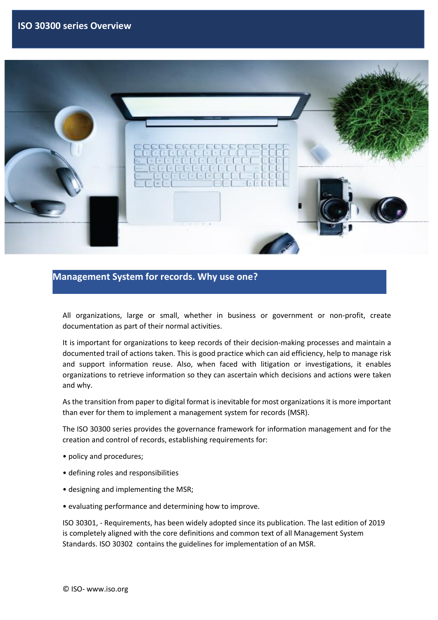

### **Management System for records. Why use one?**

All organizations, large or small, whether in business or government or non-profit, create documentation as part of their normal activities.

It is important for organizations to keep records of their decision-making processes and maintain a documented trail of actions taken. This is good practice which can aid efficiency, help to manage risk and support information reuse. Also, when faced with litigation or investigations, it enables organizations to retrieve information so they can ascertain which decisions and actions were taken and why.

As the transition from paper to digital format is inevitable for most organizations it is more important than ever for them to implement a management system for records (MSR).

The ISO 30300 series provides the governance framework for information management and for the creation and control of records, establishing requirements for:

- policy and procedures;
- defining roles and responsibilities
- designing and implementing the MSR;
- evaluating performance and determining how to improve.

ISO 30301, - Requirements, has been widely adopted since its publication. The last edition of 2019 is completely aligned with the core definitions and common text of all Management System Standards. ISO 30302 contains the guidelines for implementation of an MSR.